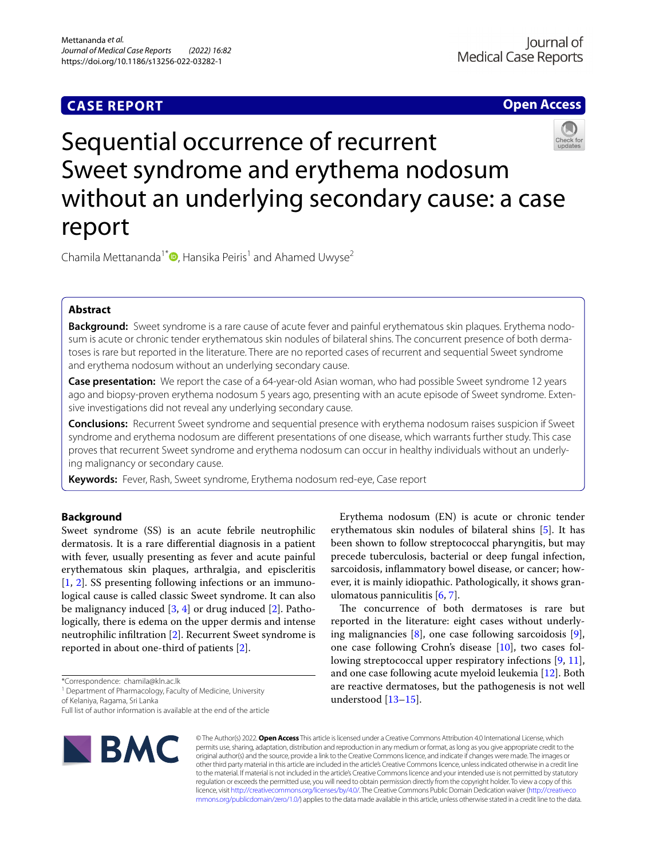# **CASE REPORT**

**Open Access**



Chamila Mettananda<sup>1\*</sup>  $\bullet$ [,](http://orcid.org/0000-0002-3328-1553) Hansika Peiris<sup>1</sup> and Ahamed Uwyse<sup>2</sup>

# **Abstract**

**Background:** Sweet syndrome is a rare cause of acute fever and painful erythematous skin plaques. Erythema nodosum is acute or chronic tender erythematous skin nodules of bilateral shins. The concurrent presence of both dermatoses is rare but reported in the literature. There are no reported cases of recurrent and sequential Sweet syndrome and erythema nodosum without an underlying secondary cause.

**Case presentation:** We report the case of a 64-year-old Asian woman, who had possible Sweet syndrome 12 years ago and biopsy-proven erythema nodosum 5 years ago, presenting with an acute episode of Sweet syndrome. Extensive investigations did not reveal any underlying secondary cause.

**Conclusions:** Recurrent Sweet syndrome and sequential presence with erythema nodosum raises suspicion if Sweet syndrome and erythema nodosum are diferent presentations of one disease, which warrants further study. This case proves that recurrent Sweet syndrome and erythema nodosum can occur in healthy individuals without an underlying malignancy or secondary cause.

**Keywords:** Fever, Rash, Sweet syndrome, Erythema nodosum red-eye, Case report

# **Background**

Sweet syndrome (SS) is an acute febrile neutrophilic dermatosis. It is a rare diferential diagnosis in a patient with fever, usually presenting as fever and acute painful erythematous skin plaques, arthralgia, and episcleritis [[1,](#page-2-0) [2\]](#page-2-1). SS presenting following infections or an immunological cause is called classic Sweet syndrome. It can also be malignancy induced [[3,](#page-3-0) [4](#page-3-1)] or drug induced [\[2](#page-2-1)]. Pathologically, there is edema on the upper dermis and intense neutrophilic infltration [[2\]](#page-2-1). Recurrent Sweet syndrome is reported in about one-third of patients [\[2](#page-2-1)].

<sup>1</sup> Department of Pharmacology, Faculty of Medicine, University of Kelaniya, Ragama, Sri Lanka

Full list of author information is available at the end of the article



Erythema nodosum (EN) is acute or chronic tender erythematous skin nodules of bilateral shins [\[5\]](#page-3-2). It has been shown to follow streptococcal pharyngitis, but may precede tuberculosis, bacterial or deep fungal infection, sarcoidosis, infammatory bowel disease, or cancer; however, it is mainly idiopathic. Pathologically, it shows granulomatous panniculitis [[6,](#page-3-3) [7](#page-3-4)].

The concurrence of both dermatoses is rare but reported in the literature: eight cases without underlying malignancies  $[8]$  $[8]$ , one case following sarcoidosis  $[9]$  $[9]$ , one case following Crohn's disease [[10\]](#page-3-7), two cases following streptococcal upper respiratory infections [\[9](#page-3-6), [11](#page-3-8)], and one case following acute myeloid leukemia [\[12](#page-3-9)]. Both are reactive dermatoses, but the pathogenesis is not well understood [\[13](#page-3-10)[–15\]](#page-3-11).

© The Author(s) 2022. **Open Access** This article is licensed under a Creative Commons Attribution 4.0 International License, which permits use, sharing, adaptation, distribution and reproduction in any medium or format, as long as you give appropriate credit to the original author(s) and the source, provide a link to the Creative Commons licence, and indicate if changes were made. The images or other third party material in this article are included in the article's Creative Commons licence, unless indicated otherwise in a credit line to the material. If material is not included in the article's Creative Commons licence and your intended use is not permitted by statutory regulation or exceeds the permitted use, you will need to obtain permission directly from the copyright holder. To view a copy of this licence, visit [http://creativecommons.org/licenses/by/4.0/.](http://creativecommons.org/licenses/by/4.0/) The Creative Commons Public Domain Dedication waiver ([http://creativeco](http://creativecommons.org/publicdomain/zero/1.0/) [mmons.org/publicdomain/zero/1.0/](http://creativecommons.org/publicdomain/zero/1.0/)) applies to the data made available in this article, unless otherwise stated in a credit line to the data.

<sup>\*</sup>Correspondence: chamila@kln.ac.lk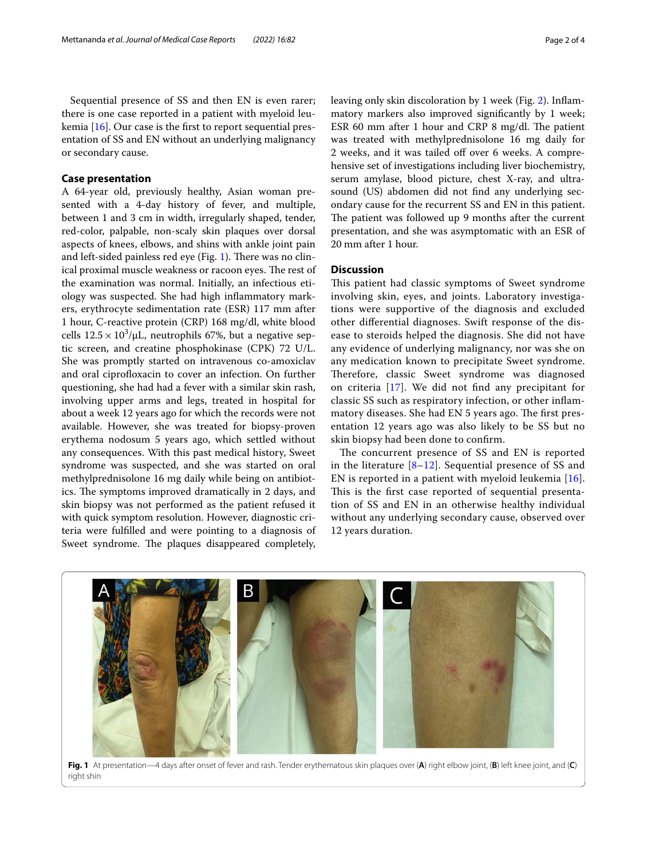Sequential presence of SS and then EN is even rarer; there is one case reported in a patient with myeloid leukemia [[16\]](#page-3-12). Our case is the frst to report sequential presentation of SS and EN without an underlying malignancy or secondary cause.

# **Case presentation**

A 64-year old, previously healthy, Asian woman presented with a 4-day history of fever, and multiple, between 1 and 3 cm in width, irregularly shaped, tender, red-color, palpable, non-scaly skin plaques over dorsal aspects of knees, elbows, and shins with ankle joint pain and left-sided painless red eye (Fig.  $1$ ). There was no clinical proximal muscle weakness or racoon eyes. The rest of the examination was normal. Initially, an infectious etiology was suspected. She had high infammatory markers, erythrocyte sedimentation rate (ESR) 117 mm after 1 hour, C-reactive protein (CRP) 168 mg/dl, white blood cells  $12.5 \times 10^3/\mu$ L, neutrophils 67%, but a negative septic screen, and creatine phosphokinase (CPK) 72 U/L. She was promptly started on intravenous co-amoxiclav and oral ciprofloxacin to cover an infection. On further questioning, she had had a fever with a similar skin rash, involving upper arms and legs, treated in hospital for about a week 12 years ago for which the records were not available. However, she was treated for biopsy-proven erythema nodosum 5 years ago, which settled without any consequences. With this past medical history, Sweet syndrome was suspected, and she was started on oral methylprednisolone 16 mg daily while being on antibiotics. The symptoms improved dramatically in 2 days, and skin biopsy was not performed as the patient refused it with quick symptom resolution. However, diagnostic criteria were fulflled and were pointing to a diagnosis of Sweet syndrome. The plaques disappeared completely,

leaving only skin discoloration by 1 week (Fig. [2](#page-2-2)). Infammatory markers also improved signifcantly by 1 week; ESR 60 mm after 1 hour and CRP 8 mg/dl. The patient was treated with methylprednisolone 16 mg daily for 2 weeks, and it was tailed off over 6 weeks. A comprehensive set of investigations including liver biochemistry, serum amylase, blood picture, chest X-ray, and ultrasound (US) abdomen did not fnd any underlying secondary cause for the recurrent SS and EN in this patient. The patient was followed up 9 months after the current presentation, and she was asymptomatic with an ESR of 20 mm after 1 hour.

# **Discussion**

This patient had classic symptoms of Sweet syndrome involving skin, eyes, and joints. Laboratory investigations were supportive of the diagnosis and excluded other diferential diagnoses. Swift response of the disease to steroids helped the diagnosis. She did not have any evidence of underlying malignancy, nor was she on any medication known to precipitate Sweet syndrome. Therefore, classic Sweet syndrome was diagnosed on criteria [[17\]](#page-3-13). We did not fnd any precipitant for classic SS such as respiratory infection, or other infammatory diseases. She had EN 5 years ago. The first presentation 12 years ago was also likely to be SS but no skin biopsy had been done to confrm.

The concurrent presence of SS and EN is reported in the literature  $[8-12]$  $[8-12]$  $[8-12]$  $[8-12]$  $[8-12]$ . Sequential presence of SS and EN is reported in a patient with myeloid leukemia [[16](#page-3-12)]. This is the first case reported of sequential presentation of SS and EN in an otherwise healthy individual without any underlying secondary cause, observed over 12 years duration.

<span id="page-1-0"></span>

**Fig. 1** At presentation—4 days after onset of fever and rash. Tender erythematous skin plaques over (**A**) right elbow joint, (**B**) left knee joint, and (**C**) right shin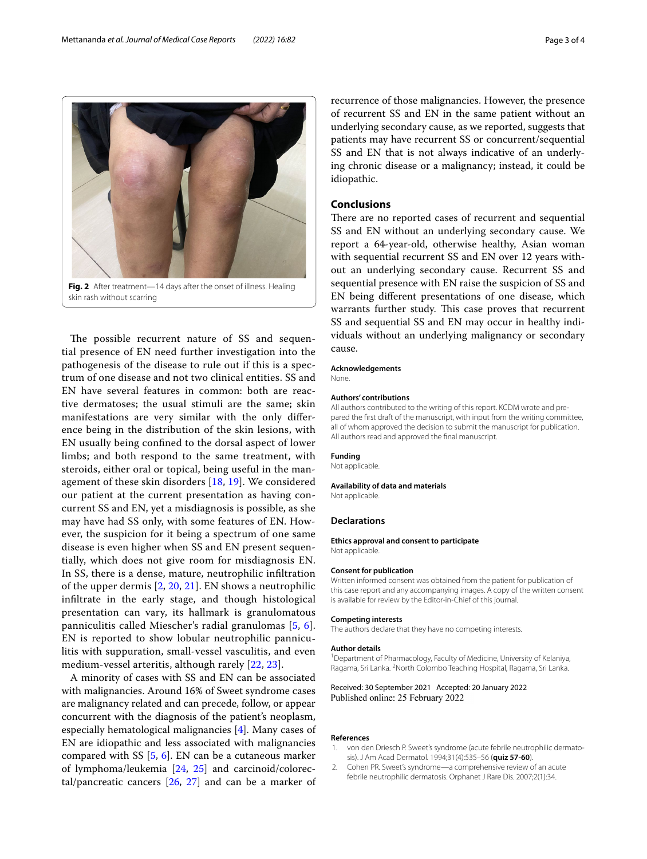<span id="page-2-2"></span>The possible recurrent nature of SS and sequential presence of EN need further investigation into the pathogenesis of the disease to rule out if this is a spectrum of one disease and not two clinical entities. SS and EN have several features in common: both are reactive dermatoses; the usual stimuli are the same; skin manifestations are very similar with the only diference being in the distribution of the skin lesions, with EN usually being confned to the dorsal aspect of lower limbs; and both respond to the same treatment, with steroids, either oral or topical, being useful in the management of these skin disorders [[18](#page-3-14), [19](#page-3-15)]. We considered our patient at the current presentation as having concurrent SS and EN, yet a misdiagnosis is possible, as she may have had SS only, with some features of EN. However, the suspicion for it being a spectrum of one same disease is even higher when SS and EN present sequentially, which does not give room for misdiagnosis EN. In SS, there is a dense, mature, neutrophilic infltration of the upper dermis [\[2](#page-2-1), [20](#page-3-16), [21\]](#page-3-17). EN shows a neutrophilic infltrate in the early stage, and though histological presentation can vary, its hallmark is granulomatous panniculitis called Miescher's radial granulomas [\[5](#page-3-2), [6\]](#page-3-3). EN is reported to show lobular neutrophilic panniculitis with suppuration, small-vessel vasculitis, and even medium-vessel arteritis, although rarely [[22,](#page-3-18) [23\]](#page-3-19).

A minority of cases with SS and EN can be associated with malignancies. Around 16% of Sweet syndrome cases are malignancy related and can precede, follow, or appear concurrent with the diagnosis of the patient's neoplasm, especially hematological malignancies [[4\]](#page-3-1). Many cases of EN are idiopathic and less associated with malignancies compared with SS  $[5, 6]$  $[5, 6]$  $[5, 6]$ . EN can be a cutaneous marker of lymphoma/leukemia [\[24](#page-3-20), [25\]](#page-3-21) and carcinoid/colorectal/pancreatic cancers [\[26](#page-3-22), [27](#page-3-23)] and can be a marker of recurrence of those malignancies. However, the presence of recurrent SS and EN in the same patient without an underlying secondary cause, as we reported, suggests that patients may have recurrent SS or concurrent/sequential SS and EN that is not always indicative of an underlying chronic disease or a malignancy; instead, it could be idiopathic.

## **Conclusions**

There are no reported cases of recurrent and sequential SS and EN without an underlying secondary cause. We report a 64-year-old, otherwise healthy, Asian woman with sequential recurrent SS and EN over 12 years without an underlying secondary cause. Recurrent SS and sequential presence with EN raise the suspicion of SS and EN being diferent presentations of one disease, which warrants further study. This case proves that recurrent SS and sequential SS and EN may occur in healthy individuals without an underlying malignancy or secondary cause.

#### **Acknowledgements**

None.

#### **Authors' contributions**

All authors contributed to the writing of this report. KCDM wrote and prepared the frst draft of the manuscript, with input from the writing committee, all of whom approved the decision to submit the manuscript for publication. All authors read and approved the fnal manuscript.

#### **Funding**

Not applicable.

#### **Availability of data and materials**

Not applicable.

## **Declarations**

**Ethics approval and consent to participate** Not applicable.

### **Consent for publication**

Written informed consent was obtained from the patient for publication of this case report and any accompanying images. A copy of the written consent is available for review by the Editor-in-Chief of this journal.

#### **Competing interests**

The authors declare that they have no competing interests.

#### **Author details**

<sup>1</sup> Department of Pharmacology, Faculty of Medicine, University of Kelaniya, Ragama, Sri Lanka. <sup>2</sup> North Colombo Teaching Hospital, Ragama, Sri Lanka.

Received: 30 September 2021 Accepted: 20 January 2022 Published online: 25 February 2022

#### **References**

- <span id="page-2-0"></span>1. von den Driesch P. Sweet's syndrome (acute febrile neutrophilic dermatosis). J Am Acad Dermatol. 1994;31(4):535–56 (**quiz 57-60**).
- <span id="page-2-1"></span>2. Cohen PR. Sweet's syndrome—a comprehensive review of an acute febrile neutrophilic dermatosis. Orphanet J Rare Dis. 2007;2(1):34.